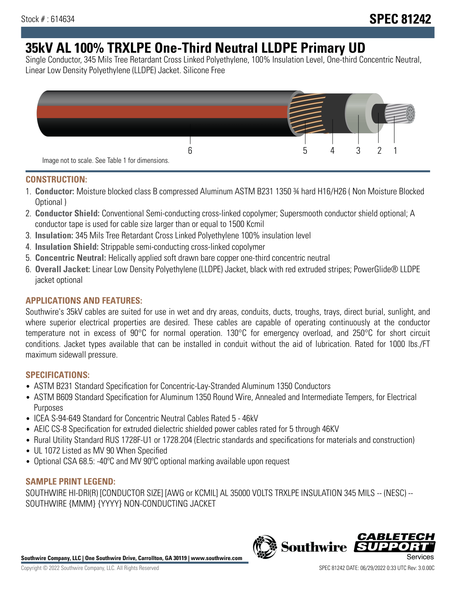# **35kV AL 100% TRXLPE One-Third Neutral LLDPE Primary UD**

Single Conductor, 345 Mils Tree Retardant Cross Linked Polyethylene, 100% Insulation Level, One-third Concentric Neutral, Linear Low Density Polyethylene (LLDPE) Jacket. Silicone Free



### **CONSTRUCTION:**

- 1. **Conductor:** Moisture blocked class B compressed Aluminum ASTM B231 1350 ¾ hard H16/H26 ( Non Moisture Blocked Optional )
- 2. **Conductor Shield:** Conventional Semi-conducting cross-linked copolymer; Supersmooth conductor shield optional; A conductor tape is used for cable size larger than or equal to 1500 Kcmil
- 3. **Insulation:** 345 Mils Tree Retardant Cross Linked Polyethylene 100% insulation level
- 4. **Insulation Shield:** Strippable semi-conducting cross-linked copolymer
- 5. **Concentric Neutral:** Helically applied soft drawn bare copper one-third concentric neutral
- 6. **Overall Jacket:** Linear Low Density Polyethylene (LLDPE) Jacket, black with red extruded stripes; PowerGlide® LLDPE jacket optional

## **APPLICATIONS AND FEATURES:**

Southwire's 35kV cables are suited for use in wet and dry areas, conduits, ducts, troughs, trays, direct burial, sunlight, and where superior electrical properties are desired. These cables are capable of operating continuously at the conductor temperature not in excess of 90°C for normal operation. 130°C for emergency overload, and 250°C for short circuit conditions. Jacket types available that can be installed in conduit without the aid of lubrication. Rated for 1000 lbs./FT maximum sidewall pressure.

## **SPECIFICATIONS:**

- ASTM B231 Standard Specification for Concentric-Lay-Stranded Aluminum 1350 Conductors
- ASTM B609 Standard Specification for Aluminum 1350 Round Wire, Annealed and Intermediate Tempers, for Electrical Purposes
- ICEA S-94-649 Standard for Concentric Neutral Cables Rated 5 46kV
- AEIC CS-8 Specification for extruded dielectric shielded power cables rated for 5 through 46KV
- Rural Utility Standard RUS 1728F-U1 or 1728.204 (Electric standards and specifications for materials and construction)
- UL 1072 Listed as MV 90 When Specified
- Optional CSA 68.5: -40ºC and MV 90ºC optional marking available upon request

#### **SAMPLE PRINT LEGEND:**

SOUTHWIRE HI-DRI(R) [CONDUCTOR SIZE] [AWG or KCMIL] AL 35000 VOLTS TRXLPE INSULATION 345 MILS -- (NESC) -- SOUTHWIRE {MMM} {YYYY} NON-CONDUCTING JACKET

**Southwire Company, LLC | One Southwire Drive, Carrollton, GA 30119 | www.southwire.com**

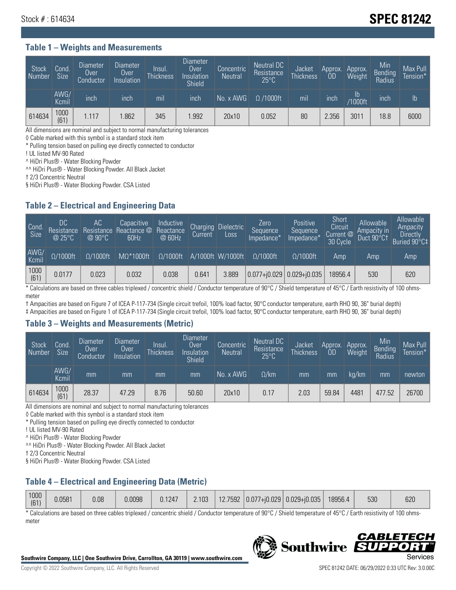## Stock # : 614634 **SPEC 81242**

#### **Table 1 – Weights and Measurements**

| Stock<br>Number | Cond<br>Size <sup>1</sup> | <b>Diameter</b><br><b>Over</b><br>Conductor | <b>Diameter</b><br>Over<br>Insulation | lnsul.<br><b>Thickness</b> | Diameter<br>Over<br>Insulation<br><b>Shield</b> | Concentric<br><b>Neutral</b> | Neutral DC<br>Resistance<br>$25^{\circ}$ C | Jacket<br><b>Thickness</b> | Approx.<br>OD | Approx.<br>Weight     | Min<br><b>Bending</b><br>Radius | Max Pull<br>Tension* |
|-----------------|---------------------------|---------------------------------------------|---------------------------------------|----------------------------|-------------------------------------------------|------------------------------|--------------------------------------------|----------------------------|---------------|-----------------------|---------------------------------|----------------------|
|                 | AWG/<br>Kcmil             | inch                                        | inch                                  | mil                        | inch                                            | No. x AWG                    | $\Omega$ /1000ft                           | mil                        | inch          | ID.<br><b>Y1000ft</b> | inch                            | I <sub>b</sub>       |
| 614634          | 1000<br>(61)              | 1.117                                       | .862                                  | 345                        | .992                                            | 20x10                        | 0.052                                      | 80                         | 2.356         | 3011                  | 18.8                            | 6000                 |

All dimensions are nominal and subject to normal manufacturing tolerances

◊ Cable marked with this symbol is a standard stock item

\* Pulling tension based on pulling eye directly connected to conductor

! UL listed MV-90 Rated

^ HiDri Plus® - Water Blocking Powder

^^ HiDri Plus® - Water Blocking Powder. All Black Jacket

† 2/3 Concentric Neutral

§ HiDri Plus® - Water Blocking Powder. CSA Listed

#### **Table 2 – Electrical and Engineering Data**

| Cond.<br>Size | DC<br>Resistance<br>@25°C | 'AC<br>Resistance<br>$\oslash$ 90°C | Capacitive<br>Reactance @<br>60Hz | Inductive<br>Reactance<br>@ 60Hz | Charging<br>Current | <b>Dielectric</b><br>Loss | Zero<br>Sequence<br>Impedance* | Positive<br>Sequence<br>Impedance* | Short<br>Circuit<br>Current @<br>30 Cycle | Allowable<br>Ampacity in<br>Duct 90°C1 | Allowable<br>Ampacity<br><b>Directly</b><br>Buried 90°C‡ |
|---------------|---------------------------|-------------------------------------|-----------------------------------|----------------------------------|---------------------|---------------------------|--------------------------------|------------------------------------|-------------------------------------------|----------------------------------------|----------------------------------------------------------|
| AWG/<br>Kcmil | $\Omega/1000$ ft          | $\Omega/1000$ ft                    | $M\Omega^*1000$ ft                | $\Omega/1000$ ft                 |                     | A/1000ft W/1000ft         | $Q/1000$ ft                    | $\Omega$ /1000ft                   | Amp                                       | Amp                                    | Amp                                                      |
| 1000<br>(61)  | 0.0177                    | 0.023                               | 0.032                             | 0.038                            | 0.641               | 3.889                     |                                | $ 0.077+0.029 0.029+0.035 $        | 8956.4                                    | 530                                    | 620                                                      |

\* Calculations are based on three cables triplexed / concentric shield / Conductor temperature of 90°C / Shield temperature of 45°C / Earth resistivity of 100 ohmsmeter

† Ampacities are based on Figure 7 of ICEA P-117-734 (Single circuit trefoil, 100% load factor, 90°C conductor temperature, earth RHO 90, 36" burial depth)

‡ Ampacities are based on Figure 1 of ICEA P-117-734 (Single circuit trefoil, 100% load factor, 90°C conductor temperature, earth RHO 90, 36" burial depth)

#### **Table 3 – Weights and Measurements (Metric)**

| Stock<br>Number | Cond.<br><b>Size</b> | <b>Diameter</b><br><b>Over</b><br>Conductor | <b>Diameter</b><br>Over<br>Insulation | lnsul.<br><b>Thickness</b> | <b>Diameter</b><br>Over<br>Insulation<br><b>Shield</b> | Concentric<br><b>Neutral</b> | Neutral DC<br>Resistance<br>$25^{\circ}$ C | Jacket<br><b>Thickness</b> | Approx.<br>0D | Approx.<br>Weight | Min<br>Bending<br>Radius | Max Pull<br>Tension* |
|-----------------|----------------------|---------------------------------------------|---------------------------------------|----------------------------|--------------------------------------------------------|------------------------------|--------------------------------------------|----------------------------|---------------|-------------------|--------------------------|----------------------|
|                 | AWG/<br>Kcmil        | mm                                          | mm                                    | mm                         | mm                                                     | No. x AWG                    | $\Omega$ /km                               | mm                         | mm            | ka/km             | mm                       | newton               |
| 614634          | 1000<br>(61)         | 28.37                                       | 47.29                                 | 8.76                       | 50.60                                                  | 20x10                        | 0.17                                       | 2.03                       | 59.84         | 4481              | 477.52                   | 26700                |

All dimensions are nominal and subject to normal manufacturing tolerances

◊ Cable marked with this symbol is a standard stock item

\* Pulling tension based on pulling eye directly connected to conductor

! UL listed MV-90 Rated

^ HiDri Plus® - Water Blocking Powder

^^ HiDri Plus® - Water Blocking Powder. All Black Jacket

† 2/3 Concentric Neutral

§ HiDri Plus® - Water Blocking Powder. CSA Listed

## **Table 4 – Electrical and Engineering Data (Metric)**

| 1000<br>(61) | 0.0581 | 0.08 | 0.0098 | 0.1247 | 2.103 |  |  | 12.7592 $ 0.077+i0.029 0.029+i0.035 $ | 18956.4 | 530 | 620 |
|--------------|--------|------|--------|--------|-------|--|--|---------------------------------------|---------|-----|-----|
|--------------|--------|------|--------|--------|-------|--|--|---------------------------------------|---------|-----|-----|

\* Calculations are based on three cables triplexed / concentric shield / Conductor temperature of 90°C / Shield temperature of 45°C / Earth resistivity of 100 ohmsmeter



**Southwire** 

**CABLE** 

PPO